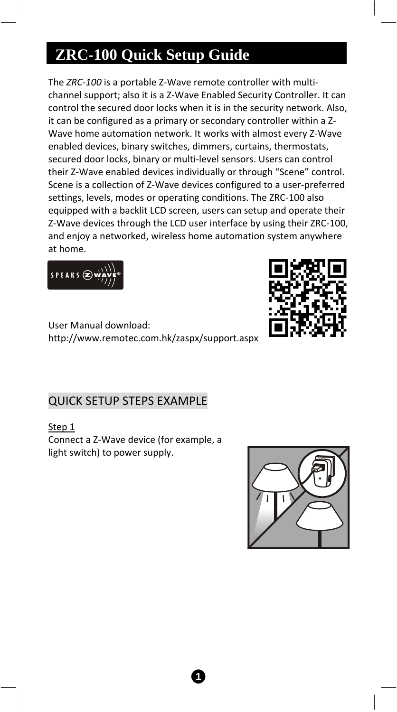# **ZRC-100 Quick Setup Guide**

The *ZRC‐100* is a portable Z‐Wave remote controller with multi‐ channel support; also it is a Z‐Wave Enabled Security Controller. It can control the secured door locks when it is in the security network. Also, it can be configured as a primary or secondary controller within a Z‐ Wave home automation network. It works with almost every Z‐Wave enabled devices, binary switches, dimmers, curtains, thermostats, secured door locks, binary or multi‐level sensors. Users can control their Z‐Wave enabled devices individually or through "Scene" control. Scene is a collection of Z‐Wave devices configured to a user‐preferred settings, levels, modes or operating conditions. The ZRC‐100 also equipped with a backlit LCD screen, users can setup and operate their Z‐Wave devices through the LCD user interface by using their ZRC‐100, and enjoy a networked, wireless home automation system anywhere at home.





User Manual download: http://www.remotec.com.hk/zaspx/support.aspx

## QUICK SETUP STEPS EXAMPLE

Step 1

Connect a Z‐Wave device (for example, a light switch) to power supply.

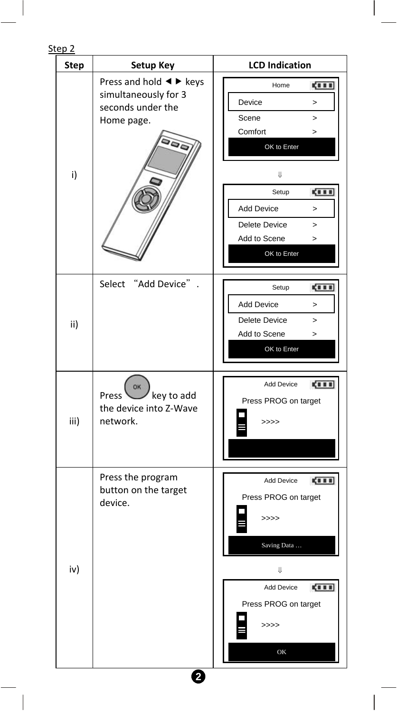#### Step 2

| <b>Step</b> | Setup Key                                                                                                               | <b>LCD Indication</b>                                                                                                                                                                                                            |
|-------------|-------------------------------------------------------------------------------------------------------------------------|----------------------------------------------------------------------------------------------------------------------------------------------------------------------------------------------------------------------------------|
| i)          | Press and hold $\blacktriangleleft \blacktriangleright$ keys<br>simultaneously for 3<br>seconds under the<br>Home page. | <b>CILL</b><br>Home<br>Device<br>$\mathbf{r}$<br>Scene<br>$\geq$<br>Comfort<br>><br>OK to Enter<br>Ų<br>Setup<br><b>CILL</b><br><b>Add Device</b><br>$\geq$<br>Delete Device<br>><br>Add to Scene<br>$\mathbf{r}$<br>OK to Enter |
| ii)         | Select "Add Device"                                                                                                     | 4111<br>Setup<br><b>Add Device</b><br>$\geq$<br><b>Delete Device</b><br>$\mathbf{r}$<br>Add to Scene<br>$\geq$<br>OK to Enter                                                                                                    |
| iii)        | OK<br>key to add<br>Press<br>the device into Z-Wave<br>network.                                                         | Add Device<br><b>CITE</b><br>Press PROG on target<br>>>>>                                                                                                                                                                        |
| iv)         | Press the program<br>button on the target<br>device.                                                                    | Add Device<br>ga a a<br>Press PROG on target<br>>>>><br>Saving Data<br>IJ<br>Add Device<br><b>CILL</b><br>Press PROG on target<br>>>>><br>OK                                                                                     |

**2**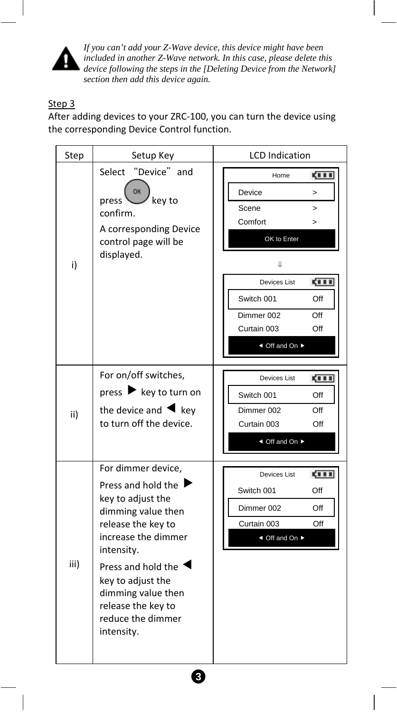

*If you can't add your Z-Wave device, this device might have been included in another Z-Wave network. In this case, please delete this device following the steps in the [Deleting Device from the Network] section then add this device again.* 

#### Step 3

After adding devices to your ZRC‐100, you can turn the device using the corresponding Device Control function.

| Step | Setup Key                                                                                                                                                                                                                                                                  | <b>LCD</b> Indication                                                                                                                                                                                 |
|------|----------------------------------------------------------------------------------------------------------------------------------------------------------------------------------------------------------------------------------------------------------------------------|-------------------------------------------------------------------------------------------------------------------------------------------------------------------------------------------------------|
| i)   | "Device" and<br>Select<br>OK<br>key to<br>press<br>confirm.<br>A corresponding Device<br>control page will be<br>displayed.                                                                                                                                                | <b>CILL</b><br>Home<br>Device<br>><br>Scene<br>><br>Comfort<br>$\geq$<br>OK to Enter<br>U<br>gi i i<br>Devices List<br>Switch 001<br>Off<br>Dimmer 002<br>Off<br>Curtain 003<br>Off<br>◀ Off and On ▶ |
| ii)  | For on/off switches,<br>press $\blacktriangleright$ key to turn on<br>the device and $\blacktriangleleft$ key<br>to turn off the device.                                                                                                                                   | <b>CILL</b><br>Devices List<br>Switch 001<br>Off<br>Dimmer 002<br>Off<br>Curtain 003<br>Off<br>◀ Off and On ▶                                                                                         |
| iii) | For dimmer device,<br>Press and hold the I<br>key to adjust the<br>dimming value then<br>release the key to<br>increase the dimmer<br>intensity.<br>Press and hold the<br>key to adjust the<br>dimming value then<br>release the key to<br>reduce the dimmer<br>intensity. | <b>CILL</b><br>Devices List<br>Switch 001<br>Off<br>Dimmer 002<br>Off<br>Curtain 003<br>Off<br>◀ Off and On ▶                                                                                         |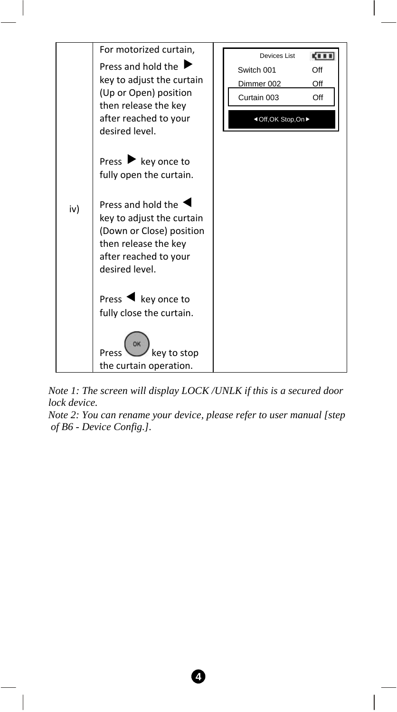

*Note 1: The screen will display LOCK /UNLK if this is a secured door lock device.* 

*Note 2: You can rename your device, please refer to user manual [step of B6 - Device Config.].*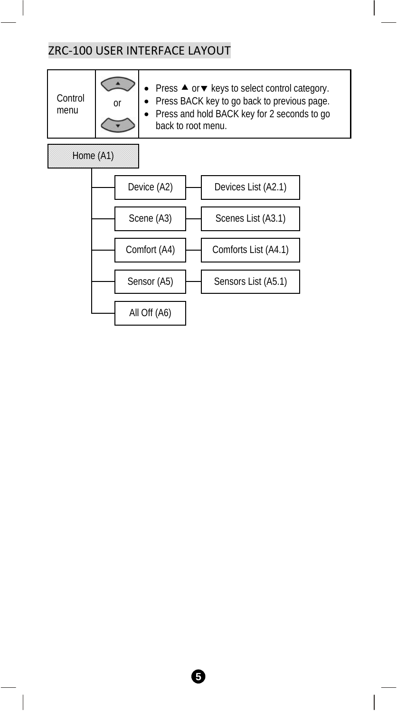# ZRC‐100 USER INTERFACE LAYOUT

| Control<br>menu | <sub>or</sub> | • Press ▲ or ▼ keys to select control category.<br>• Press BACK key to go back to previous page.<br>• Press and hold BACK key for 2 seconds to go<br>back to root menu. |
|-----------------|---------------|-------------------------------------------------------------------------------------------------------------------------------------------------------------------------|
| Home (A1)       |               |                                                                                                                                                                         |

Device (A2) Scene (A3) Comfort (A4) Sensor (A5) All Off (A6) Devices List (A2.1) Scenes List (A3.1) Comforts List (A4.1) Sensors List (A5.1)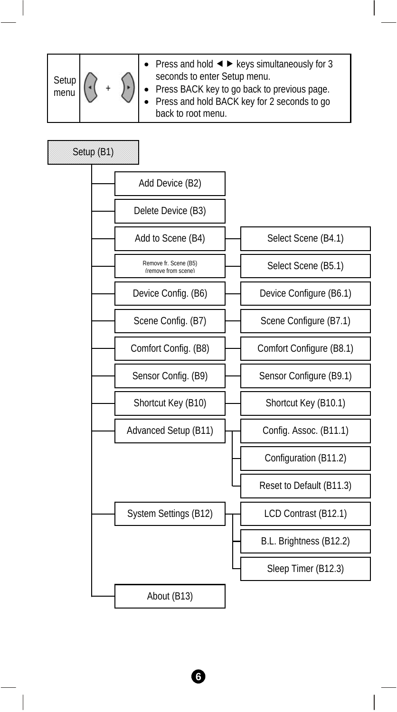| Setup<br>menu |  |  | • Press and hold $\blacktriangleleft$ $\blacktriangleright$ keys simultaneously for 3<br>seconds to enter Setup menu.<br>• Press BACK key to go back to previous page.<br>• Press and hold BACK key for 2 seconds to go<br>back to root menu. |
|---------------|--|--|-----------------------------------------------------------------------------------------------------------------------------------------------------------------------------------------------------------------------------------------------|
|---------------|--|--|-----------------------------------------------------------------------------------------------------------------------------------------------------------------------------------------------------------------------------------------------|



**6**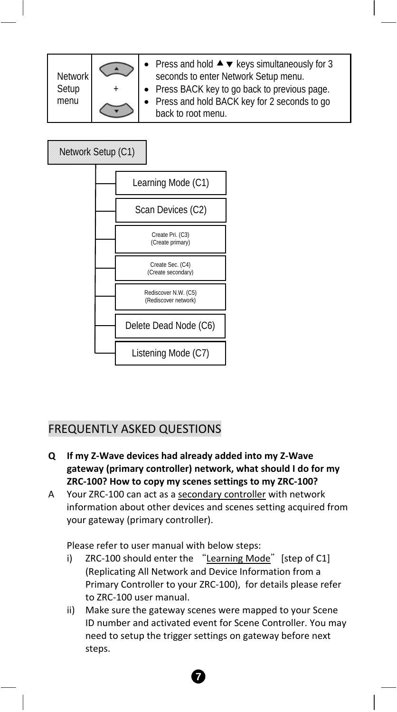| <b>Network</b> |  | • Press and hold $\blacktriangle \blacktriangledown$ keys simultaneously for 3<br>seconds to enter Network Setup menu. |
|----------------|--|------------------------------------------------------------------------------------------------------------------------|
| Setup          |  | • Press BACK key to go back to previous page.                                                                          |
| menu           |  | • Press and hold BACK key for 2 seconds to go                                                                          |
|                |  | back to root menu.                                                                                                     |



### FREQUENTLY ASKED QUESTIONS

- **Q If my Z‐Wave devices had already added into my Z‐Wave gateway (primary controller) network, what should I do for my ZRC‐100? How to copy my scenes settings to my ZRC‐100?**
- A Your ZRC-100 can act as a secondary controller with network information about other devices and scenes setting acquired from your gateway (primary controller).

Please refer to user manual with below steps:

- i) ZRC-100 should enter the "Learning Mode" [step of C1] (Replicating All Network and Device Information from a Primary Controller to your ZRC‐100), for details please refer to ZRC‐100 user manual.
- ii) Make sure the gateway scenes were mapped to your Scene ID number and activated event for Scene Controller. You may need to setup the trigger settings on gateway before next steps.

**7**